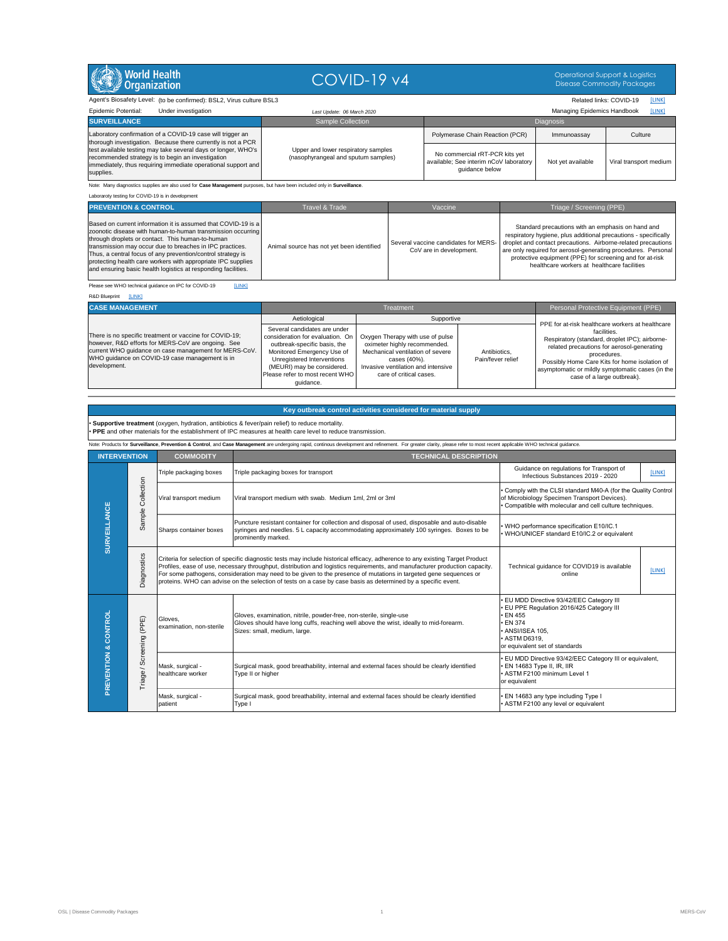## *Last Update: 06 March 2020* Managing Epidemics Handbook [LINK]

Note: Many diagnostics supplies are also used for **Case Management** purposes, but have been included only in **Surveillance**.

Laboraroty testing for COVID-19 is in development



COVID-19 v4 Operational Support & Logistics Disease Commodity Packages

Agent's Biosafety Level: (to be confirmed): BSL2, Virus culture BSL3 **Related Inks: COVID-19** [LINK]

| Under investigation<br><b>Epidemic Potential:</b>                                                                                                                                                 | Last Update: 06 March 2020                                                 |                                                                                            | <b>Managing Epidemics Handbook</b> | [LINK]                 |
|---------------------------------------------------------------------------------------------------------------------------------------------------------------------------------------------------|----------------------------------------------------------------------------|--------------------------------------------------------------------------------------------|------------------------------------|------------------------|
| <b>SURVEILLANCE</b>                                                                                                                                                                               | <b>Sample Collection</b>                                                   |                                                                                            | <b>Diagnosis</b>                   |                        |
| Laboratory confirmation of a COVID-19 case will trigger an<br>thorough investigation. Because there currently is not a PCR                                                                        | Upper and lower respiratory samples<br>(nasophyrangeal and sputum samples) | Polymerase Chain Reaction (PCR)                                                            | Immunoassay                        | Culture                |
| test available testing may take several days or longer, WHO's<br>recommended strategy is to begin an investigation<br> immediately, thus requiring immediate operational support and<br>supplies. |                                                                            | No commercial rRT-PCR kits yet<br>available; See interim nCoV laboratory<br>quidance below | Not yet available                  | Viral transport medium |

| <b>PREVENTION &amp; CONTROL</b>                                                                                                                                                                                                                                                                                                                                                                                                              | Travel & Trade                            | Vaccine                                                         | Triage / Screening (PPE)                                                                                                                                                                                                                                                                                                                                          |
|----------------------------------------------------------------------------------------------------------------------------------------------------------------------------------------------------------------------------------------------------------------------------------------------------------------------------------------------------------------------------------------------------------------------------------------------|-------------------------------------------|-----------------------------------------------------------------|-------------------------------------------------------------------------------------------------------------------------------------------------------------------------------------------------------------------------------------------------------------------------------------------------------------------------------------------------------------------|
| Based on current information it is assumed that COVID-19 is a<br>zoonotic disease with human-to-human transmission occurring<br>through droplets or contact. This human-to-human<br>transmission may occur due to breaches in IPC practices.<br>Thus, a central focus of any prevention/control strategy is<br>protecting health care workers with appropriate IPC supplies<br>and ensuring basic health logistics at responding facilities. | Animal source has not yet been identified | Several vaccine candidates for MERS-<br>CoV are in development. | Standard precautions with an emphasis on hand and<br>respiratory hygiene, plus additional precautions - specifically<br>droplet and contact precautions. Airborne-related precautions<br>are only required for aerosol-generating procedures. Personal<br>protective equipment (PPE) for screening and for at-risk<br>healthcare workers at healthcare facilities |

Please see WHO technical guidance on IPC for COVID-19 [LINK]

R&D Blueprint [LINK]

| <b>CASE MANAGEMENT</b>                                                                                                                                                                                                   | Treatment                                                                                                                                                                    |                                                                                                                                    |                                   | Personal Protective Equipment (PPE)                                                                                                                                                                                             |
|--------------------------------------------------------------------------------------------------------------------------------------------------------------------------------------------------------------------------|------------------------------------------------------------------------------------------------------------------------------------------------------------------------------|------------------------------------------------------------------------------------------------------------------------------------|-----------------------------------|---------------------------------------------------------------------------------------------------------------------------------------------------------------------------------------------------------------------------------|
| There is no specific treatment or vaccine for COVID-19;<br>however, R&D efforts for MERS-CoV are ongoing. See<br>current WHO guidance on case management for MERS-CoV.<br>WHO guidance on COVID-19 case management is in | Aetiological<br>Several candidates are under<br>consideration for evaluation. On<br>outbreak-specific basis, the<br>Monitored Emergency Use of<br>Unregistered Interventions | Supportive<br>Oxygen Therapy with use of pulse<br>oximeter highly recommended.<br>Mechanical ventilation of severe<br>cases (40%). | Antibiotics,<br>Pain/fever relief | PPE for at-risk healthcare workers at healthcare<br>facilities.<br>Respiratory (standard, droplet IPC); airborne-<br>related precautions for aerosol-generating<br>procedures.<br>Possibly Home Care Kits for home isolation of |
| development.                                                                                                                                                                                                             | (MEURI) may be considered.<br>Please refer to most recent WHO<br>guidance.                                                                                                   | Invasive ventilation and intensive<br>care of critical cases.                                                                      |                                   | asymptomatic or mildly symptomatic cases (in the<br>case of a large outbreak).                                                                                                                                                  |

| <b>INTERVENTION</b>  |                                                          | <b>COMMODITY</b>                      | <b>TECHNICAL DESCRIPTION</b>                                                                                                                                                                                                                                                                                                                                                                                                                                                                       |                                                                                                                                                                                         |  |  |
|----------------------|----------------------------------------------------------|---------------------------------------|----------------------------------------------------------------------------------------------------------------------------------------------------------------------------------------------------------------------------------------------------------------------------------------------------------------------------------------------------------------------------------------------------------------------------------------------------------------------------------------------------|-----------------------------------------------------------------------------------------------------------------------------------------------------------------------------------------|--|--|
|                      | Collection                                               | Triple packaging boxes                | Triple packaging boxes for transport                                                                                                                                                                                                                                                                                                                                                                                                                                                               | Guidance on regulations for Transport of<br>[LINK]<br>Infectious Substances 2019 - 2020                                                                                                 |  |  |
|                      |                                                          | Viral transport medium                | Viral transport medium with swab. Medium 1ml, 2ml or 3ml                                                                                                                                                                                                                                                                                                                                                                                                                                           | Comply with the CLSI standard M40-A (for the Quality Control<br>of Microbiology Specimen Transport Devices).<br>Compatible with molecular and cell culture techniques.                  |  |  |
| SURVEILLANCE         | Sample                                                   | Sharps container boxes                | Puncture resistant container for collection and disposal of used, disposable and auto-disable<br>syringes and needles. 5 L capacity accommodating approximately 100 syringes. Boxes to be<br>prominently marked.                                                                                                                                                                                                                                                                                   | WHO performance specification E10/IC.1<br>WHO/UNICEF standard E10/IC.2 or equivalent                                                                                                    |  |  |
|                      | Diagnostics                                              |                                       | Criteria for selection of specific diagnostic tests may include historical efficacy, adherence to any existing Target Product<br>Profiles, ease of use, necessary throughput, distribution and logistics requirements, and manufacturer production capacity.<br>For some pathogens, consideration may need to be given to the presence of mutations in targeted gene sequences or<br>proteins. WHO can advise on the selection of tests on a case by case basis as determined by a specific event. | Technical guidance for COVID19 is available<br>[LINK]<br>online                                                                                                                         |  |  |
| PREVENTION & CONTROL | (PPE)<br>Screening<br>$\overline{\phantom{0}}$<br>Triage | Gloves,<br>examination, non-sterile   | Gloves, examination, nitrile, powder-free, non-sterile, single-use<br>Gloves should have long cuffs, reaching well above the wrist, ideally to mid-forearm.<br>Sizes: small, medium, large.                                                                                                                                                                                                                                                                                                        | EU MDD Directive 93/42/EEC Category III<br>EU PPE Regulation 2016/425 Category III<br><b>EN 455</b><br><b>EN 374</b><br>ANSI/ISEA 105,<br>ASTM D6319,<br>or equivalent set of standards |  |  |
|                      |                                                          | Mask, surgical -<br>healthcare worker | Surgical mask, good breathability, internal and external faces should be clearly identified<br>Type II or higher                                                                                                                                                                                                                                                                                                                                                                                   | EU MDD Directive 93/42/EEC Category III or equivalent,<br>EN 14683 Type II, IR, IIR<br>ASTM F2100 minimum Level 1<br>or equivalent                                                      |  |  |
|                      |                                                          | Mask, surgical -<br>patient           | Surgical mask, good breathability, internal and external faces should be clearly identified<br>Type I                                                                                                                                                                                                                                                                                                                                                                                              | EN 14683 any type including Type I<br>ASTM F2100 any level or equivalent                                                                                                                |  |  |

## **Key outbreak control activities considered for material supply**

• **Supportive treatment** (oxygen, hydration, antibiotics & fever/pain relief) to reduce mortality. • **PPE** and other materials for the establishment of IPC measures at health care level to reduce transmission.

Note: Products for Surveillance, Prevention & Control, and Case Management are undergoing rapid, continous development and refinement. For greater clarity, please refer to most recent applicable WHO technical guidance.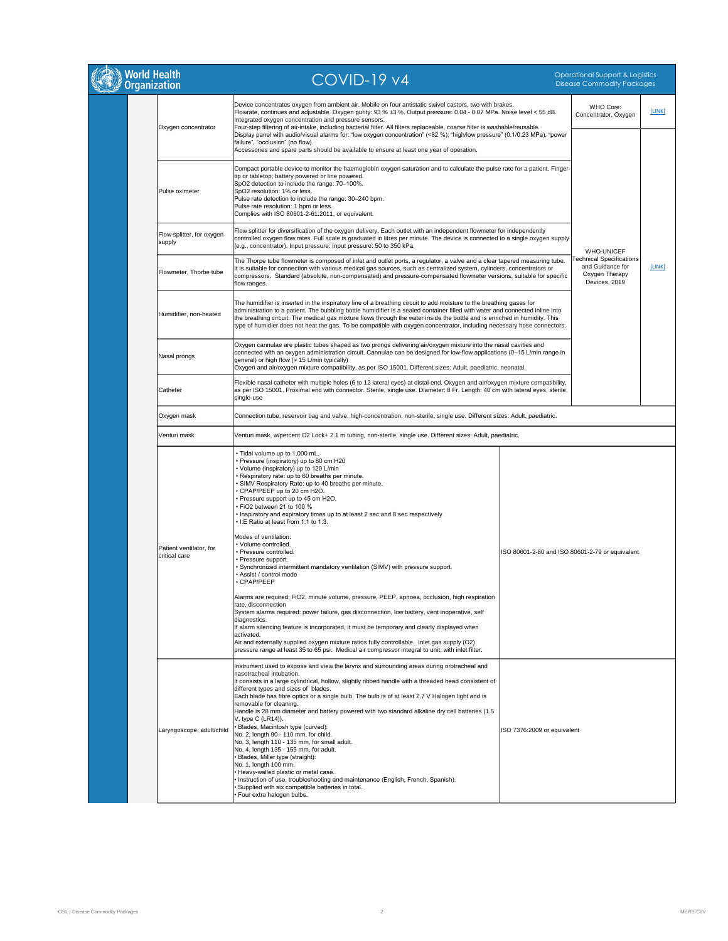| World Health<br>Organization             | $COVID-19V4$                                                                                                                                                                                                                                                                                                                                                                                                                                                                                                                                                                                                                                                                                                                                                                                                                                                                                                                                                                       |                                                 | Operational Support & Logistics<br><b>Disease Commodity Packages</b>                   |        |
|------------------------------------------|------------------------------------------------------------------------------------------------------------------------------------------------------------------------------------------------------------------------------------------------------------------------------------------------------------------------------------------------------------------------------------------------------------------------------------------------------------------------------------------------------------------------------------------------------------------------------------------------------------------------------------------------------------------------------------------------------------------------------------------------------------------------------------------------------------------------------------------------------------------------------------------------------------------------------------------------------------------------------------|-------------------------------------------------|----------------------------------------------------------------------------------------|--------|
| Oxygen concentrator                      | Device concentrates oxygen from ambient air. Mobile on four antistatic swivel castors, two with brakes.<br>Flowrate, continues and adjustable. Oxygen purity: 93 % ±3 %. Output pressure: 0.04 - 0.07 MPa. Noise level < 55 dB.<br>Integrated oxygen concentration and pressure sensors.<br>Four-step filtering of air-intake, including bacterial filter. All filters replaceable, coarse filter is washable/reusable.<br>Display panel with audio/visual alarms for: "low oxygen concentration" (<82 %); "high/low pressure" (0.1/0.23 MPa), "power<br>failure", "occlusion" (no flow).<br>Accessories and spare parts should be available to ensure at least one year of operation.                                                                                                                                                                                                                                                                                             |                                                 | <b>WHO Core:</b><br>Concentrator, Oxygen                                               | [LINK] |
| Pulse oximeter                           | Compact portable device to monitor the haemoglobin oxygen saturation and to calculate the pulse rate for a patient. Finger-<br>tip or tabletop; battery powered or line powered.<br>SpO2 detection to include the range: 70-100%.<br>SpO2 resolution: 1% or less.<br>Pulse rate detection to include the range: 30-240 bpm.<br>Pulse rate resolution: 1 bpm or less.<br>Complies with ISO 80601-2-61:2011, or equivalent.                                                                                                                                                                                                                                                                                                                                                                                                                                                                                                                                                          |                                                 |                                                                                        |        |
| Flow-splitter, for oxygen<br>supply      | Flow splitter for diversification of the oxygen delivery. Each outlet with an independent flowmeter for independently<br>controlled oxygen flow rates. Full scale is graduated in litres per minute. The device is connected to a single oxygen supply<br>(e.g., concentrator). Input pressure: Input pressure: 50 to 350 kPa.                                                                                                                                                                                                                                                                                                                                                                                                                                                                                                                                                                                                                                                     |                                                 | <b>WHO-UNICEF</b>                                                                      |        |
| Flowmeter, Thorbe tube                   | The Thorpe tube flowmeter is composed of inlet and outlet ports, a regulator, a valve and a clear tapered measuring tube.<br>It is suitable for connection with various medical gas sources, such as centralized system, cylinders, concentrators or<br>compressors. Standard (absolute, non-compensated) and pressure-compensated flowmeter versions, suitable for specific<br>flow ranges.                                                                                                                                                                                                                                                                                                                                                                                                                                                                                                                                                                                       |                                                 | <b>Technical Specifications</b><br>and Guidance for<br>Oxygen Therapy<br>Devices, 2019 | [LINK] |
| Humidifier, non-heated                   | The humidifier is inserted in the inspiratory line of a breathing circuit to add moisture to the breathing gases for<br>administration to a patient. The bubbling bottle humidifier is a sealed container filled with water and connected inline into<br>the breathing circuit. The medical gas mixture flows through the water inside the bottle and is enriched in humidity. This<br>type of humidier does not heat the gas. To be compatible with oxygen concentrator, including necessary hose connectors.                                                                                                                                                                                                                                                                                                                                                                                                                                                                     |                                                 |                                                                                        |        |
| Nasal prongs                             | Oxygen cannulae are plastic tubes shaped as two prongs delivering air/oxygen mixture into the nasal cavities and<br>connected with an oxygen administration circuit. Cannulae can be designed for low-flow applications (0-15 L/min range in<br>general) or high flow (> 15 L/min typically)<br>Oxygen and air/oxygen mixture compatibility, as per ISO 15001. Different sizes: Adult, paediatric, neonatal.                                                                                                                                                                                                                                                                                                                                                                                                                                                                                                                                                                       |                                                 |                                                                                        |        |
| Catheter                                 | Flexible nasal catheter with multiple holes (6 to 12 lateral eyes) at distal end. Oxygen and air/oxygen mixture compatibility,<br>as per ISO 15001. Proximal end with connector. Sterile, single use. Diameter: 8 Fr. Length: 40 cm with lateral eyes, sterile,<br>single-use                                                                                                                                                                                                                                                                                                                                                                                                                                                                                                                                                                                                                                                                                                      |                                                 |                                                                                        |        |
| Oxygen mask                              | Connection tube, reservoir bag and valve, high-concentration, non-sterile, single use. Different sizes: Adult, paediatric.                                                                                                                                                                                                                                                                                                                                                                                                                                                                                                                                                                                                                                                                                                                                                                                                                                                         |                                                 |                                                                                        |        |
| Venturi mask                             | Venturi mask, w/percent O2 Lock+ 2.1 m tubing, non-sterile, single use. Different sizes: Adult, paediatric.                                                                                                                                                                                                                                                                                                                                                                                                                                                                                                                                                                                                                                                                                                                                                                                                                                                                        |                                                 |                                                                                        |        |
|                                          | . Tidal volume up to 1,000 mL.<br>• Pressure (inspiratory) up to 80 cm H20<br>• Volume (inspiratory) up to 120 L/min<br>• Respiratory rate: up to 60 breaths per minute.<br>• SIMV Respiratory Rate: up to 40 breaths per minute.<br>• CPAP/PEEP up to 20 cm H2O.<br>• Pressure support up to 45 cm H2O.<br>• FiO2 between 21 to 100 %<br>• Inspiratory and expiratory times up to at least 2 sec and 8 sec respectively<br>• I:E Ratio at least from 1:1 to 1:3.<br>Modes of ventilation:                                                                                                                                                                                                                                                                                                                                                                                                                                                                                         |                                                 |                                                                                        |        |
| Patient ventilator, for<br>critical care | • Volume controlled.<br>• Pressure controlled.<br>• Pressure support.<br>• Synchronized intermittent mandatory ventilation (SIMV) with pressure support.<br>• Assist / control mode<br>• CPAP/PEEP                                                                                                                                                                                                                                                                                                                                                                                                                                                                                                                                                                                                                                                                                                                                                                                 | ISO 80601-2-80 and ISO 80601-2-79 or equivalent |                                                                                        |        |
|                                          | Alarms are required: FiO2, minute volume, pressure, PEEP, apnoea, occlusion, high respiration<br>rate, disconnection<br>System alarms required: power failure, gas disconnection, low battery, vent inoperative, self<br>diagnostics.<br>If alarm silencing feature is incorporated, it must be temporary and clearly displayed when<br>activated.<br>Air and externally supplied oxygen mixture ratios fully controllable. Inlet gas supply (O2)<br>pressure range at least 35 to 65 psi. Medical air compressor integral to unit, with inlet filter.                                                                                                                                                                                                                                                                                                                                                                                                                             |                                                 |                                                                                        |        |
| Laryngoscope, adult/child                | Instrument used to expose and view the larynx and surrounding areas during orotracheal and<br>nasotracheal intubation.<br>It consists in a large cylindrical, hollow, slightly ribbed handle with a threaded head consistent of<br>different types and sizes of blades.<br>Each blade has fibre optics or a single bulb. The bulb is of at least 2.7 V Halogen light and is<br>removable for cleaning.<br>Handle is 28 mm diameter and battery powered with two standard alkaline dry cell batteries (1.5<br>$V$ , type C (LR14)).<br>• Blades, Macintosh type (curved):<br>No. 2, length 90 - 110 mm, for child.<br>No. 3, length 110 - 135 mm, for small adult.<br>No. 4, length 135 - 155 mm, for adult.<br>Blades, Miller type (straight):<br>No. 1, length 100 mm.<br>Heavy-walled plastic or metal case.<br>Instruction of use, troubleshooting and maintenance (English, French, Spanish).<br>Supplied with six compatible batteries in total.<br>Four extra halogen bulbs. | ISO 7376:2009 or equivalent                     |                                                                                        |        |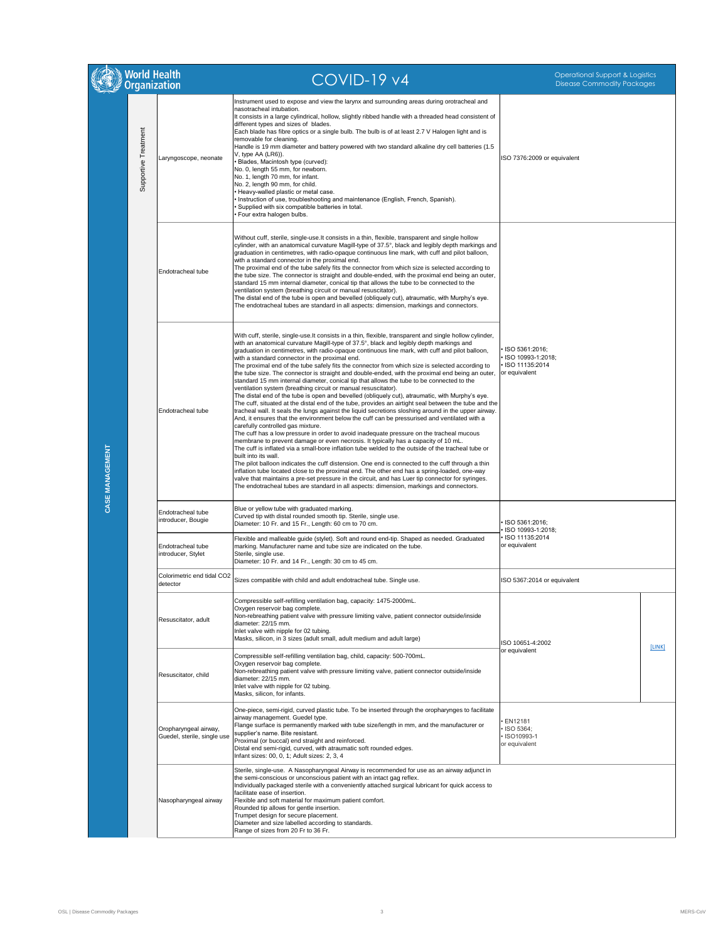|                 | World Health<br>Organization |                                                                                           | <b>COVID-19 v4</b>                                                                                                                                                                                                                                                                                                                                                                                                                                                                                                                                                                                                                                                                                                                                                                                                                                                                                                                                                                                                                                                                                                                                                                                                                                                                                                                                                                                                                                                                                                                                                                                                                                                                                                                                                                                                                                                                                        | <b>Operational Support &amp; Logistics</b><br><b>Disease Commodity Packages</b> |        |
|-----------------|------------------------------|-------------------------------------------------------------------------------------------|-----------------------------------------------------------------------------------------------------------------------------------------------------------------------------------------------------------------------------------------------------------------------------------------------------------------------------------------------------------------------------------------------------------------------------------------------------------------------------------------------------------------------------------------------------------------------------------------------------------------------------------------------------------------------------------------------------------------------------------------------------------------------------------------------------------------------------------------------------------------------------------------------------------------------------------------------------------------------------------------------------------------------------------------------------------------------------------------------------------------------------------------------------------------------------------------------------------------------------------------------------------------------------------------------------------------------------------------------------------------------------------------------------------------------------------------------------------------------------------------------------------------------------------------------------------------------------------------------------------------------------------------------------------------------------------------------------------------------------------------------------------------------------------------------------------------------------------------------------------------------------------------------------------|---------------------------------------------------------------------------------|--------|
|                 | Supportive Treatment         | Laryngoscope, neonate                                                                     | Instrument used to expose and view the larynx and surrounding areas during orotracheal and<br>nasotracheal intubation.<br>It consists in a large cylindrical, hollow, slightly ribbed handle with a threaded head consistent of<br>different types and sizes of blades.<br>Each blade has fibre optics or a single bulb. The bulb is of at least 2.7 V Halogen light and is<br>removable for cleaning.<br>Handle is 19 mm diameter and battery powered with two standard alkaline dry cell batteries (1.5<br>V, type AA (LR6)).<br>· Blades, Macintosh type (curved):<br>No. 0, length 55 mm, for newborn.<br>No. 1, length 70 mm, for infant.<br>No. 2, length 90 mm, for child.<br>• Heavy-walled plastic or metal case.<br>Instruction of use, troubleshooting and maintenance (English, French, Spanish).<br>Supplied with six compatible batteries in total.<br>· Four extra halogen bulbs.                                                                                                                                                                                                                                                                                                                                                                                                                                                                                                                                                                                                                                                                                                                                                                                                                                                                                                                                                                                                          | ISO 7376:2009 or equivalent                                                     |        |
|                 |                              | <b>Endotracheal tube</b>                                                                  | Without cuff, sterile, single-use. It consists in a thin, flexible, transparent and single hollow<br>cylinder, with an anatomical curvature Magill-type of 37.5°, black and legibly depth markings and<br>graduation in centimetres, with radio-opaque continuous line mark, with cuff and pilot balloon,<br>with a standard connector in the proximal end.<br>The proximal end of the tube safely fits the connector from which size is selected according to<br>the tube size. The connector is straight and double-ended, with the proximal end being an outer,<br>standard 15 mm internal diameter, conical tip that allows the tube to be connected to the<br>ventilation system (breathing circuit or manual resuscitator).<br>The distal end of the tube is open and bevelled (obliquely cut), atraumatic, with Murphy's eye.<br>The endotracheal tubes are standard in all aspects: dimension, markings and connectors.                                                                                                                                                                                                                                                                                                                                                                                                                                                                                                                                                                                                                                                                                                                                                                                                                                                                                                                                                                           |                                                                                 |        |
| CASE MANAGEMENT |                              | Endotracheal tube                                                                         | With cuff, sterile, single-use. It consists in a thin, flexible, transparent and single hollow cylinder,<br>with an anatomical curvature Magill-type of 37.5°, black and legibly depth markings and<br>graduation in centimetres, with radio-opaque continuous line mark, with cuff and pilot balloon,<br>with a standard connector in the proximal end.<br>The proximal end of the tube safely fits the connector from which size is selected according to<br>the tube size. The connector is straight and double-ended, with the proximal end being an outer,<br>standard 15 mm internal diameter, conical tip that allows the tube to be connected to the<br>ventilation system (breathing circuit or manual resuscitator).<br>The distal end of the tube is open and bevelled (obliquely cut), atraumatic, with Murphy's eye.<br>The cuff, situated at the distal end of the tube, provides an airtight seal between the tube and the<br>tracheal wall. It seals the lungs against the liquid secretions sloshing around in the upper airway.<br>And, it ensures that the environment below the cuff can be pressurised and ventilated with a<br>carefully controlled gas mixture.<br>The cuff has a low pressure in order to avoid inadequate pressure on the tracheal mucous<br>membrane to prevent damage or even necrosis. It typically has a capacity of 10 mL.<br>The cuff is inflated via a small-bore inflation tube welded to the outside of the tracheal tube or<br>built into its wall.<br>The pilot balloon indicates the cuff distension. One end is connected to the cuff through a thin<br>inflation tube located close to the proximal end. The other end has a spring-loaded, one-way<br>valve that maintains a pre-set pressure in the circuit, and has Luer tip connector for syringes.<br>The endotracheal tubes are standard in all aspects: dimension, markings and connectors. | ISO 5361:2016;<br>ISO 10993-1:2018;<br>ISO 11135:2014<br>or equivalent          |        |
|                 |                              | Endotracheal tube<br>introducer, Bougie<br><b>Endotracheal tube</b><br>introducer, Stylet | Blue or yellow tube with graduated marking.<br>Curved tip with distal rounded smooth tip. Sterile, single use.<br>Diameter: 10 Fr. and 15 Fr., Length: 60 cm to 70 cm.<br>Flexible and malleable guide (stylet). Soft and round end-tip. Shaped as needed. Graduated<br>marking. Manufacturer name and tube size are indicated on the tube.<br>Sterile, single use.                                                                                                                                                                                                                                                                                                                                                                                                                                                                                                                                                                                                                                                                                                                                                                                                                                                                                                                                                                                                                                                                                                                                                                                                                                                                                                                                                                                                                                                                                                                                       | ISO 5361:2016;<br>ISO 10993-1:2018;<br>• ISO 11135:2014<br>or equivalent        |        |
|                 |                              | Colorimetric end tidal CO2<br>detector                                                    | Diameter: 10 Fr. and 14 Fr., Length: 30 cm to 45 cm.<br>Sizes compatible with child and adult endotracheal tube. Single use.                                                                                                                                                                                                                                                                                                                                                                                                                                                                                                                                                                                                                                                                                                                                                                                                                                                                                                                                                                                                                                                                                                                                                                                                                                                                                                                                                                                                                                                                                                                                                                                                                                                                                                                                                                              | ISO 5367:2014 or equivalent                                                     |        |
|                 |                              | Resuscitator, adult                                                                       | Compressible self-refilling ventilation bag, capacity: 1475-2000mL.<br>Oxygen reservoir bag complete.<br>Non-rebreathing patient valve with pressure limiting valve, patient connector outside/inside<br>diameter: 22/15 mm.<br>Inlet valve with nipple for 02 tubing.<br>Masks, silicon, in 3 sizes (adult small, adult medium and adult large)                                                                                                                                                                                                                                                                                                                                                                                                                                                                                                                                                                                                                                                                                                                                                                                                                                                                                                                                                                                                                                                                                                                                                                                                                                                                                                                                                                                                                                                                                                                                                          | ISO 10651-4:2002                                                                | [LINK] |
|                 |                              | Resuscitator, child                                                                       | Compressible self-refilling ventilation bag, child, capacity: 500-700mL.<br>Oxygen reservoir bag complete.<br>Non-rebreathing patient valve with pressure limiting valve, patient connector outside/inside<br>diameter: 22/15 mm.<br>Inlet valve with nipple for 02 tubing.<br>Masks, silicon, for infants.                                                                                                                                                                                                                                                                                                                                                                                                                                                                                                                                                                                                                                                                                                                                                                                                                                                                                                                                                                                                                                                                                                                                                                                                                                                                                                                                                                                                                                                                                                                                                                                               | or equivalent                                                                   |        |
|                 |                              | Oropharyngeal airway,<br>Guedel, sterile, single use                                      | One-piece, semi-rigid, curved plastic tube. To be inserted through the oropharynges to facilitate<br>airway management. Guedel type.<br>Flange surface is permanently marked with tube size/length in mm, and the manufacturer or<br>supplier's name. Bite resistant.<br>Proximal (or buccal) end straight and reinforced.<br>Distal end semi-rigid, curved, with atraumatic soft rounded edges.<br>Infant sizes: 00, 0, 1; Adult sizes: 2, 3, 4                                                                                                                                                                                                                                                                                                                                                                                                                                                                                                                                                                                                                                                                                                                                                                                                                                                                                                                                                                                                                                                                                                                                                                                                                                                                                                                                                                                                                                                          | · EN12181<br>· ISO 5364;<br>· ISO10993-1<br>or equivalent                       |        |
|                 |                              | Nasopharyngeal airway                                                                     | Sterile, single-use. A Nasopharyngeal Airway is recommended for use as an airway adjunct in<br>the semi-conscious or unconscious patient with an intact gag reflex.<br>Individually packaged sterile with a conveniently attached surgical lubricant for quick access to<br>facilitate ease of insertion.<br>Flexible and soft material for maximum patient comfort.<br>Rounded tip allows for gentle insertion.<br>Trumpet design for secure placement.<br>Diameter and size labelled according to standards.<br>Range of sizes from 20 Fr to 36 Fr.                                                                                                                                                                                                                                                                                                                                                                                                                                                                                                                                                                                                                                                                                                                                                                                                                                                                                                                                                                                                                                                                                                                                                                                                                                                                                                                                                     |                                                                                 |        |